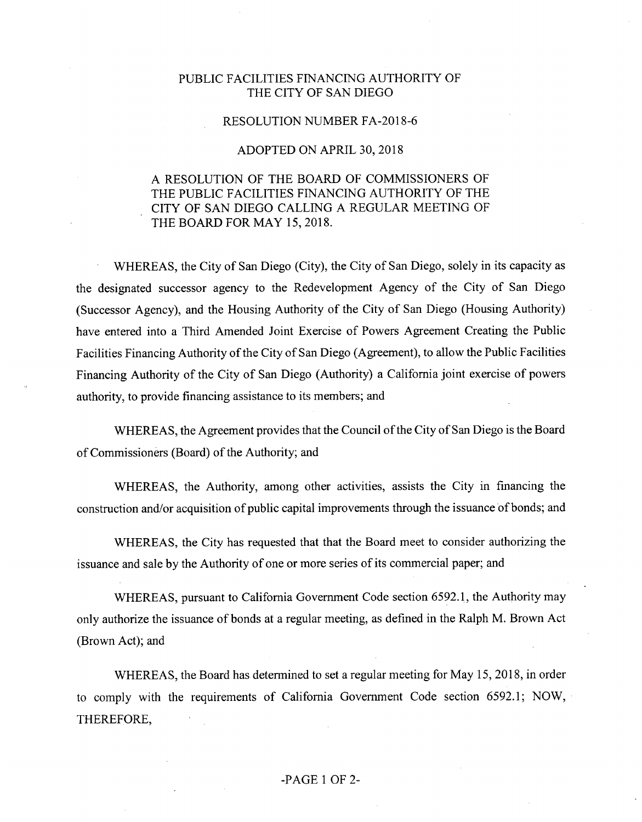## PUBLIC FACILITIES FINANCING AUTHORITY OF THE CITY OF SAN DIEGO

### RESOLUTION NUMBER FA-2018-6

### ADOPTED ON APRIL 30, 2018

# A RESOLUTION OF THE BOARD OF COMMISSIONERS OF THE PUBLIC FACILITIES FINANCING AUTHORITY OF THE CITY OF SAN DIEGO CALLING A REGULAR MEETING OF THE BOARD FOR MAY 15, 2018.

WHEREAS, the City of San Diego (City), the City of San Diego, solely in its capacity as the designated successor agency to the Redevelopment Agency of the City of San Diego (Successor Agency), and the Housing Authority of the City of San Diego (Housing Authority) have entered into a Third Amended Joint Exercise of Powers Agreement Creating the Public Facilities Financing Authority of the City of San Diego (Agreement), to allow the Public Facilities Financing Authority of the City of San Diego (Authority) a California joint exercise of powers authority, to provide financing assistance to its members; and

WHEREAS, the Agreement provides that the Council of the City of San Diego is the Board of Commissioners (Board) of the Authority; and

WHEREAS, the Authority, among other activities, assists the City in financing the construction and/or acquisition of public capital improvements through the issuance of bonds; and

WHEREAS, the City has requested that that the Board meet to consider authorizing the issuance and sale by the Authority of one or more series of its commercial paper; and

WHEREAS, pursuant to California Government Code section 6592.1, the Authority may only authorize the issuance of bonds at a regular meeting, as defined in the Ralph M. Brown Act (Brown Act); and

WHEREAS, the Board has determined to set a regular meeting for May 15, 2018, in order to comply with the requirements of California Government Code section 6592.1; NOW, THEREFORE,

### -PAGE <sup>1</sup> OF 2-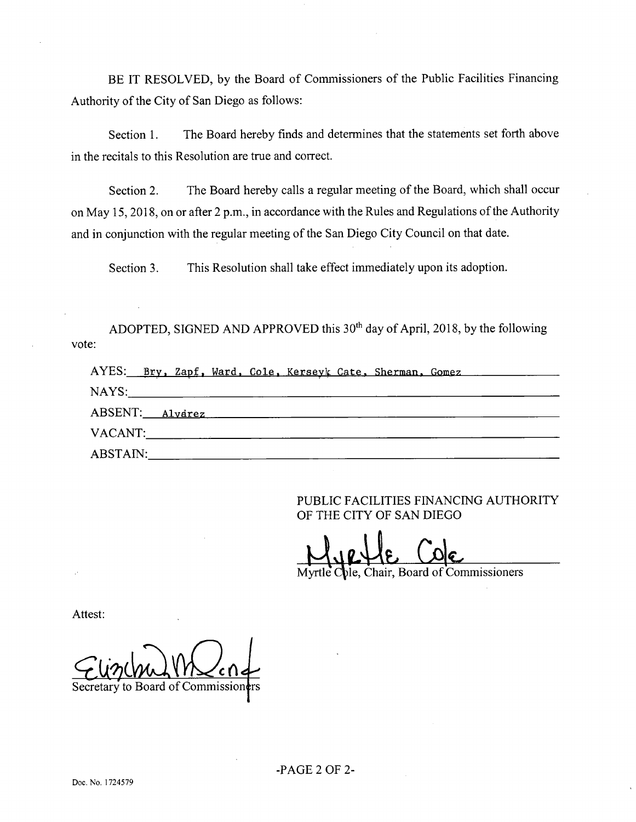BE IT RESOLVED, by the Board of Commissioners of the Public Facilities Financing Authority of the City of San Diego as follows:

Section 1. The Board hereby finds and determines that the statements set forth above in the recitals to this Resolution are true and correct.

Section 2. The Board hereby calls a regular meeting of the Board, which shall occur on May 15, 2018, on or after 2 p.m., in accordance with the Rules and Regulations of the Authority and in conjunction with the regular meeting of the San Diego City Council on that date.

Section 3. This Resolution shall take effect immediately upon its adoption.

ADOPTED, SIGNED AND APPROVED this  $30<sup>th</sup>$  day of April, 2018, by the following vote:

|  | AYES: Bry, Zapf, Ward, Cole, Kerseyk Cate, Sherman, Gomez |  |  |  |
|--|-----------------------------------------------------------|--|--|--|
|  |                                                           |  |  |  |
|  | ABSENT: Alvarez                                           |  |  |  |
|  | VACANT:                                                   |  |  |  |
|  | ABSTAIN:                                                  |  |  |  |

PUBLIC FACILITIES FINANCING AUTHORITY OF THE CITY OF SAN DIEGO

Chair, Board of Commissioners

Attest:

Secretary to Board of Commission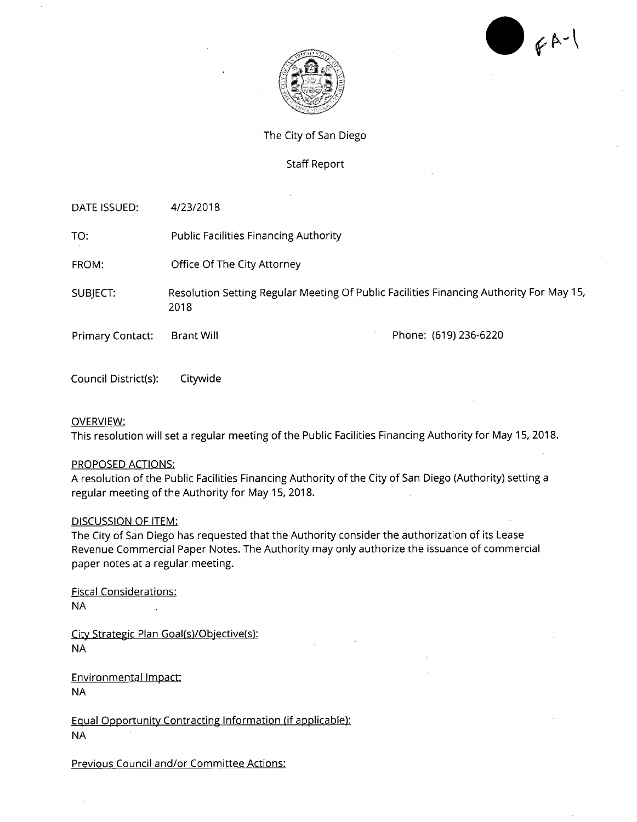$64 - 1$ 



The City of San Diego

### Staff Report

DATE ISSUED: 4/23/2018 TO: Public Facilities Financing Authority FROM: Office Of The City Attorney SUBJECT: Resolution Setting Regular Meeting Of Public Facilities Financing Authority For May 15, 2018 Primary Contact: Brant Will **Phone: (619)** 236-6220

Council District(s): Citywide

#### OVERVIEW:

This resolution will set a regular meeting of the Public Facilities Financing Authority for May 15, 2018.

#### PROPOSED ACTIONS:

A resolution of the Public Facilities Financing Authority of the City of San Diego (Authority) setting a regular meeting of the Authority for May 15, 2018.

#### DISCUSSION OF ITEM:

The City of San Diego has requested that the Authority consider the authorization of its Lease Revenue Commercial Paper Notes. The Authority may only authorize the issuance of commercial paper notes at a regular meeting.

Fiscal Considerations: NA

City Strategic Plan Goal(s)/Objective(s): NA

Environmental Impact: NA

Equal Opportunity Contracting Information (if applicable): NA

Previous Council and/or Committee Actions: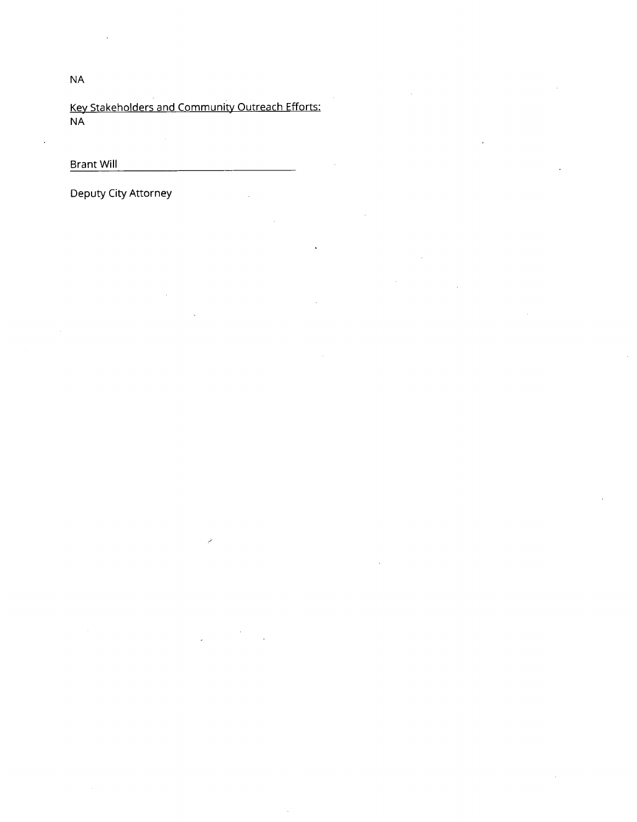Key Stakeholders and Community Outreach Efforts: NA

Brant Will

Deputy City Attorney